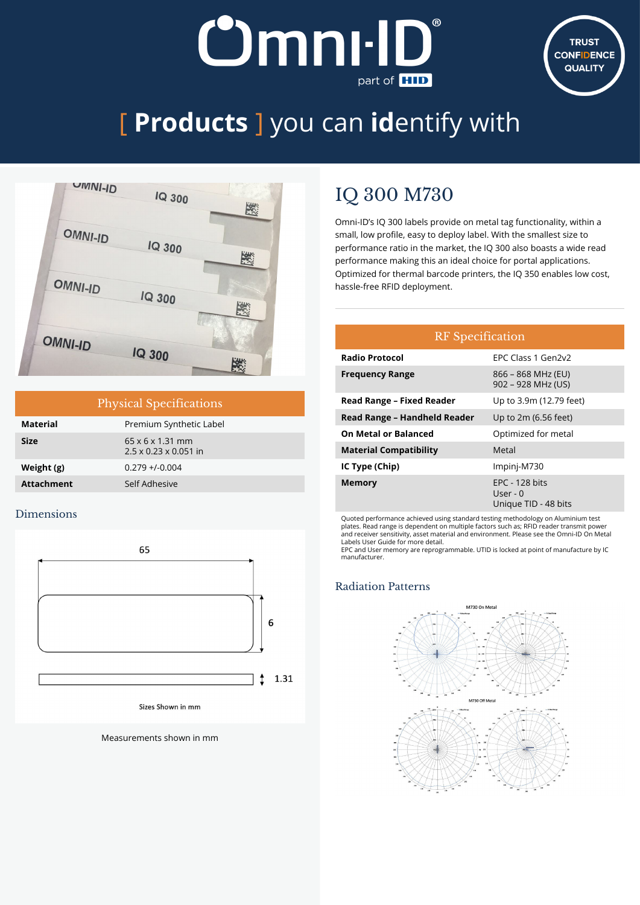# **Omni-ID** part of **HID**



## [ **Products** ] you can **id**entify with



| <b>Physical Specifications</b> |                                                                   |  |
|--------------------------------|-------------------------------------------------------------------|--|
| <b>Material</b>                | Premium Synthetic Label                                           |  |
| <b>Size</b>                    | $65 \times 6 \times 1.31$ mm<br>$2.5 \times 0.23 \times 0.051$ in |  |
| Weight (g)                     | $0.279 + 0.004$                                                   |  |
| <b>Attachment</b>              | Self Adhesive                                                     |  |

#### Dimensions



Measurements shown in mm

### IQ 300 M730

Omni-ID's IQ 300 labels provide on metal tag functionality, within a small, low profile, easy to deploy label. With the smallest size to performance ratio in the market, the IQ 300 also boasts a wide read performance making this an ideal choice for portal applications. Optimized for thermal barcode printers, the IQ 350 enables low cost, hassle-free RFID deployment.

| <b>RF</b> Specification          |                                                             |  |  |  |  |
|----------------------------------|-------------------------------------------------------------|--|--|--|--|
| <b>Radio Protocol</b>            | EPC Class 1 Gen2v2                                          |  |  |  |  |
| <b>Frequency Range</b>           | 866 - 868 MHz (EU)<br>902 - 928 MHz (US)                    |  |  |  |  |
| <b>Read Range - Fixed Reader</b> | Up to 3.9m (12.79 feet)                                     |  |  |  |  |
| Read Range - Handheld Reader     | Up to 2m (6.56 feet)                                        |  |  |  |  |
| On Metal or Balanced             | Optimized for metal                                         |  |  |  |  |
| <b>Material Compatibility</b>    | Metal                                                       |  |  |  |  |
| IC Type (Chip)                   | Impinj-M730                                                 |  |  |  |  |
| <b>Memory</b>                    | <b>EPC - 128 bits</b><br>User - $0$<br>Unique TID - 48 bits |  |  |  |  |

Quoted performance achieved using standard testing methodology on Aluminium test plates. Read range is dependent on multiple factors such as; RFID reader transmit power and receiver sensitivity, asset material and environment. Please see the Omni-ID On Metal

Labels User Guide for more detail. EPC and User memory are reprogrammable. UTID is locked at point of manufacture by IC manufacturer.

#### Radiation Patterns